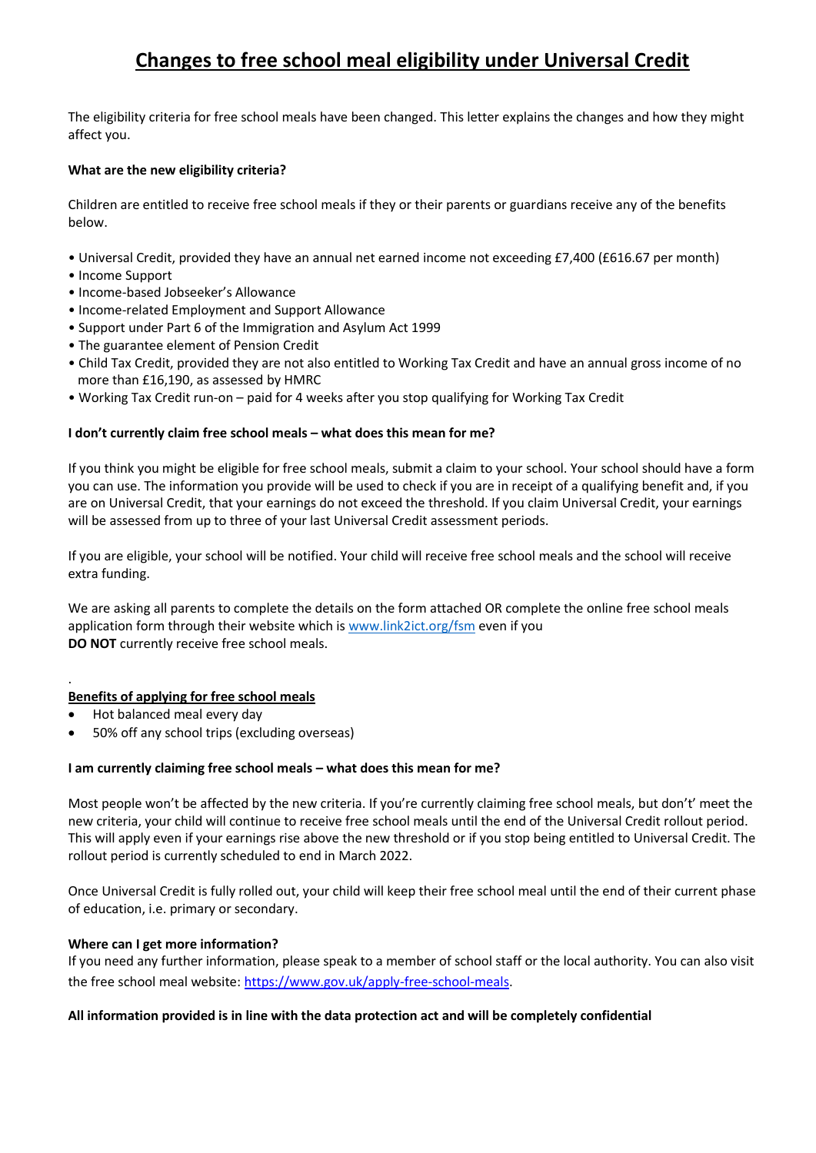# **Changes to free school meal eligibility under Universal Credit**

The eligibility criteria for free school meals have been changed. This letter explains the changes and how they might affect you.

### **What are the new eligibility criteria?**

Children are entitled to receive free school meals if they or their parents or guardians receive any of the benefits below.

- Universal Credit, provided they have an annual net earned income not exceeding £7,400 (£616.67 per month)
- Income Support
- Income-based Jobseeker's Allowance
- Income-related Employment and Support Allowance
- Support under Part 6 of the Immigration and Asylum Act 1999
- The guarantee element of Pension Credit
- Child Tax Credit, provided they are not also entitled to Working Tax Credit and have an annual gross income of no more than £16,190, as assessed by HMRC
- Working Tax Credit run-on paid for 4 weeks after you stop qualifying for Working Tax Credit

#### **I don't currently claim free school meals – what does this mean for me?**

If you think you might be eligible for free school meals, submit a claim to your school. Your school should have a form you can use. The information you provide will be used to check if you are in receipt of a qualifying benefit and, if you are on Universal Credit, that your earnings do not exceed the threshold. If you claim Universal Credit, your earnings will be assessed from up to three of your last Universal Credit assessment periods.

If you are eligible, your school will be notified. Your child will receive free school meals and the school will receive extra funding.

We are asking all parents to complete the details on the form attached OR complete the online free school meals application form through their website which i[s www.link2ict.org/fsm](http://www.link2ict.org/fsm) even if you **DO NOT** currently receive free school meals.

#### **Benefits of applying for free school meals**

• Hot balanced meal every day

.

• 50% off any school trips (excluding overseas)

#### **I am currently claiming free school meals – what does this mean for me?**

Most people won't be affected by the new criteria. If you're currently claiming free school meals, but don't' meet the new criteria, your child will continue to receive free school meals until the end of the Universal Credit rollout period. This will apply even if your earnings rise above the new threshold or if you stop being entitled to Universal Credit. The rollout period is currently scheduled to end in March 2022.

Once Universal Credit is fully rolled out, your child will keep their free school meal until the end of their current phase of education, i.e. primary or secondary.

#### **Where can I get more information?**

If you need any further information, please speak to a member of school staff or the local authority. You can also visit the free school meal website: [https://www.gov.uk/apply-free-school-meals.](https://www.gov.uk/apply-free-school-meals)

#### **All information provided is in line with the data protection act and will be completely confidential**